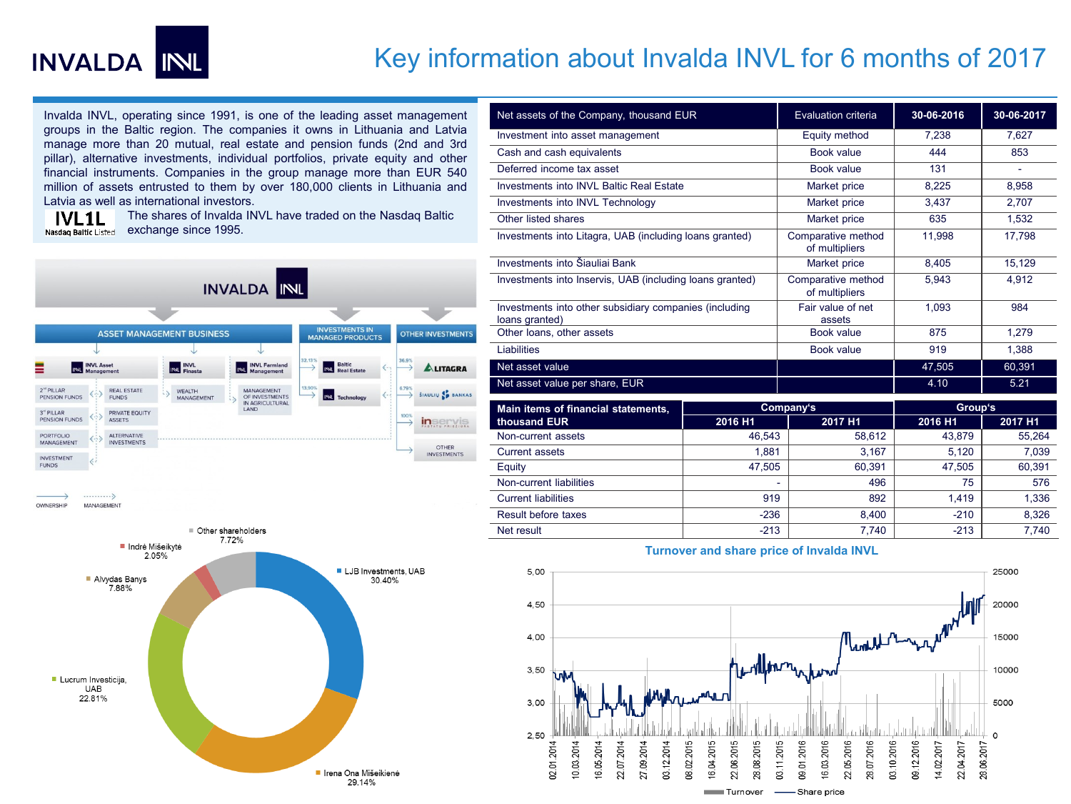

## Key information about Invalda INVL for 6 months of 2017

Invalda INVL, operating since 1991, is one of the leading asset management groups in the Baltic region. The companies it owns in Lithuania and Latvia manage more than 20 mutual, real estate and pension funds (2nd and 3rd pillar), alternative investments, individual portfolios, private equity and other financial instruments. Companies in the group manage more than EUR 540 million of assets entrusted to them by over 180,000 clients in Lithuania and Latvia as well as international investors.

The shares of Invalda INVL have traded on the Nasdaq Baltic **IVL1L** Nasdag Baltic Listed exchange since 1995.





| Net assets of the Company, thousand EUR                                  |           | Evaluation criteria                  | 30-06-2016 | 30-06-2017 |
|--------------------------------------------------------------------------|-----------|--------------------------------------|------------|------------|
| Investment into asset management                                         |           | Equity method                        | 7.238      | 7,627      |
| Cash and cash equivalents                                                |           | Book value                           | 444        | 853        |
| Deferred income tax asset                                                |           | Book value                           | 131        |            |
| Investments into INVL Baltic Real Estate                                 |           | Market price                         | 8,225      | 8,958      |
| Investments into INVL Technology                                         |           | Market price                         | 3,437      | 2.707      |
| Other listed shares                                                      |           | Market price                         | 635        | 1,532      |
| Investments into Litagra, UAB (including loans granted)                  |           | Comparative method<br>of multipliers | 11.998     | 17,798     |
| Investments into Šiauliai Bank                                           |           | Market price                         | 8,405      | 15,129     |
| Investments into Inservis, UAB (including loans granted)                 |           | Comparative method<br>of multipliers | 5,943      | 4,912      |
| Investments into other subsidiary companies (including<br>loans granted) |           | Fair value of net<br>assets          | 1.093      | 984        |
| Other loans, other assets                                                |           | Book value                           | 875        | 1,279      |
| <b>Liabilities</b>                                                       |           | Book value                           | 919        | 1,388      |
| Net asset value                                                          |           |                                      | 47,505     | 60,391     |
| Net asset value per share, EUR                                           |           |                                      | 4.10       | 5.21       |
| Main items of financial statements,                                      | Company's |                                      | Group's    |            |
| thousand EUR                                                             | 2016 H1   | 2017 H1                              | 2016 H1    | 2017 H1    |
| Non-current assets                                                       | 46,543    | 58,612                               | 43,879     | 55,264     |
| <b>Current assets</b>                                                    | 1.881     | 3.167                                | 5.120      | 7.039      |
| Equity                                                                   | 47,505    | 60,391                               | 47,505     | 60,391     |
| Non-current liabilities                                                  |           | 496                                  | 75         | 576        |
| <b>Current liabilities</b>                                               | 919       | 892                                  | 1,419      | 1,336      |
| Result before taxes                                                      | $-236$    | 8.400                                | $-210$     | 8,326      |

## **Turnover and share price of Invalda INVL**

Net result -213 | 7,740 | -213 | 7,740